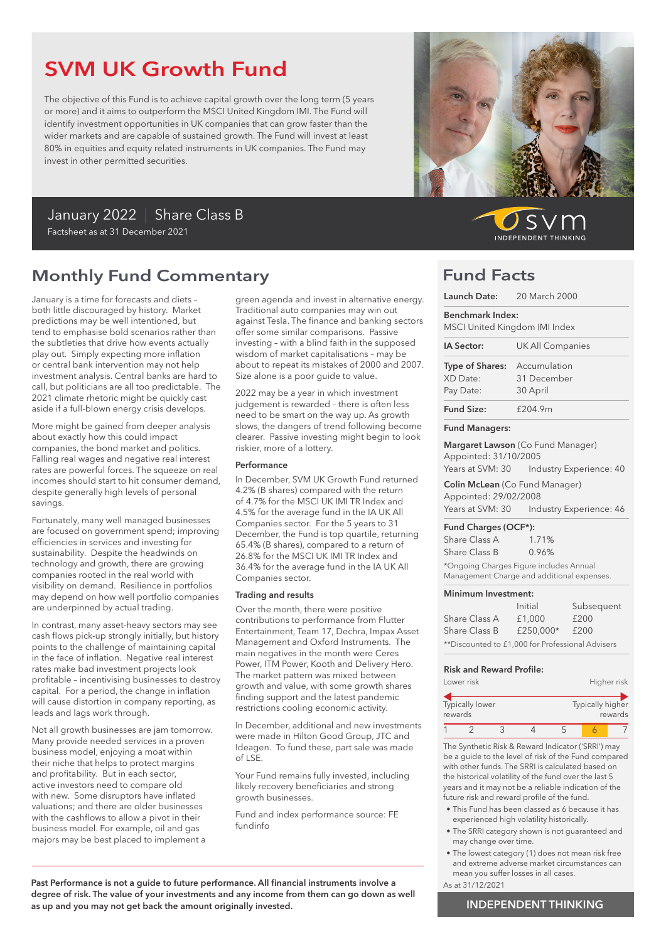## SVM UK Growth Fund

The objective of this Fund is to achieve capital growth over the long term (5 years or more) and it aims to outperform the MSCI United Kingdom IMI. The Fund will identify investment opportunities in UK companies that can grow faster than the wider markets and are capable of sustained growth. The Fund will invest at least 80% in equities and equity related instruments in UK companies. The Fund may invest in other permitted securities.

### January 2022 | Share Class B Factsheet as at 31 December 2021

### Monthly Fund Commentary

January is a time for forecasts and diets – both little discouraged by history. Market predictions may be well intentioned, but tend to emphasise bold scenarios rather than the subtleties that drive how events actually play out. Simply expecting more inflation or central bank intervention may not help investment analysis. Central banks are hard to call, but politicians are all too predictable. The 2021 climate rhetoric might be quickly cast aside if a full-blown energy crisis develops.

More might be gained from deeper analysis about exactly how this could impact companies, the bond market and politics. Falling real wages and negative real interest rates are powerful forces. The squeeze on real incomes should start to hit consumer demand, despite generally high levels of personal savings.

Fortunately, many well managed businesses are focused on government spend; improving efficiencies in services and investing for sustainability. Despite the headwinds on technology and growth, there are growing companies rooted in the real world with visibility on demand. Resilience in portfolios may depend on how well portfolio companies are underpinned by actual trading.

In contrast, many asset-heavy sectors may see cash flows pick-up strongly initially, but history points to the challenge of maintaining capital in the face of inflation. Negative real interest rates make bad investment projects look profitable – incentivising businesses to destroy capital. For a period, the change in inflation will cause distortion in company reporting, as leads and lags work through.

Not all growth businesses are jam tomorrow. Many provide needed services in a proven business model, enjoying a moat within their niche that helps to protect margins and profitability. But in each sector, active investors need to compare old with new. Some disruptors have inflated valuations; and there are older businesses with the cashflows to allow a pivot in their business model. For example, oil and gas majors may be best placed to implement a

green agenda and invest in alternative energy. Traditional auto companies may win out against Tesla. The finance and banking sectors offer some similar comparisons. Passive investing – with a blind faith in the supposed wisdom of market capitalisations – may be about to repeat its mistakes of 2000 and 2007. Size alone is a poor quide to value.

2022 may be a year in which investment judgement is rewarded – there is often less need to be smart on the way up. As growth slows, the dangers of trend following become clearer. Passive investing might begin to look riskier, more of a lottery.

### Performance

In December, SVM UK Growth Fund returned 4.2% (B shares) compared with the return of 4.7% for the MSCI UK IMI TR Index and 4.5% for the average fund in the IA UK All Companies sector. For the 5 years to 31 December, the Fund is top quartile, returning 65.4% (B shares), compared to a return of 26.8% for the MSCI UK IMI TR Index and 36.4% for the average fund in the IA UK All Companies sector.

#### Trading and results

Over the month, there were positive contributions to performance from Flutter Entertainment, Team 17, Dechra, Impax Asset Management and Oxford Instruments. The main negatives in the month were Ceres Power, ITM Power, Kooth and Delivery Hero. The market pattern was mixed between growth and value, with some growth shares finding support and the latest pandemic restrictions cooling economic activity.

In December, additional and new investments were made in Hilton Good Group, JTC and Ideagen. To fund these, part sale was made of LSE.

Your Fund remains fully invested, including likely recovery beneficiaries and strong growth businesses.

Fund and index performance source: FE fundinfo

Past Performance is not a guide to future performance. All financial instruments involve a degree of risk. The value of your investments and any income from them can go down as well as up and you may not get back the amount originally invested.



SV **INDEPENDENT THINKING** 

### Fund Facts

| Launch Date: 20 March 2000                             |                                                                                  |  |
|--------------------------------------------------------|----------------------------------------------------------------------------------|--|
| Benchmark Index:<br>MSCI United Kingdom IMI Index      |                                                                                  |  |
| IA Sector:                                             | <b>UK All Companies</b>                                                          |  |
| Type of Shares: Accumulation<br>XD Date:<br>Pay Date:  | 31 December<br>30 April                                                          |  |
| <b>Fund Size:</b>                                      | f204.9m                                                                          |  |
| <b>Fund Managers:</b>                                  |                                                                                  |  |
| Appointed: 31/10/2005                                  | Margaret Lawson (Co Fund Manager)<br>Years at SVM: 30    Industry Experience: 40 |  |
| Appointed: 29/02/2008                                  | Colin McLean (Co Fund Manager)<br>Years at SVM: 30    Industry Experience: 46    |  |
| Fund Charges (OCF*):<br>Share Class A<br>Share Class B | 1.71%<br>0.96%                                                                   |  |

\*Ongoing Charges Figure includes Annual Management Charge and additional expenses.

### Minimum Investment:

|                                                  | Initial   | Subsequent |  |
|--------------------------------------------------|-----------|------------|--|
| Share Class A                                    | £1,000    | £200       |  |
| Share Class B                                    | £250.000* | £200       |  |
| **Discounted to £1,000 for Professional Advisers |           |            |  |

### Risk and Reward Profile:

|         | Lower risk      |  |                  | Higher risk |
|---------|-----------------|--|------------------|-------------|
| rewards | Typically lower |  | Typically higher | rewards     |
|         |                 |  |                  |             |

The Synthetic Risk & Reward Indicator ('SRRI') may be a guide to the level of risk of the Fund compared with other funds. The SRRI is calculated based on the historical volatility of the fund over the last 5 years and it may not be a reliable indication of the future risk and reward profile of the fund.

- This Fund has been classed as 6 because it has experienced high volatility historically.
- The SRRI category shown is not guaranteed and may change over time.
- The lowest category (1) does not mean risk free and extreme adverse market circumstances can mean you suffer losses in all cases.
- As at 31/12/2021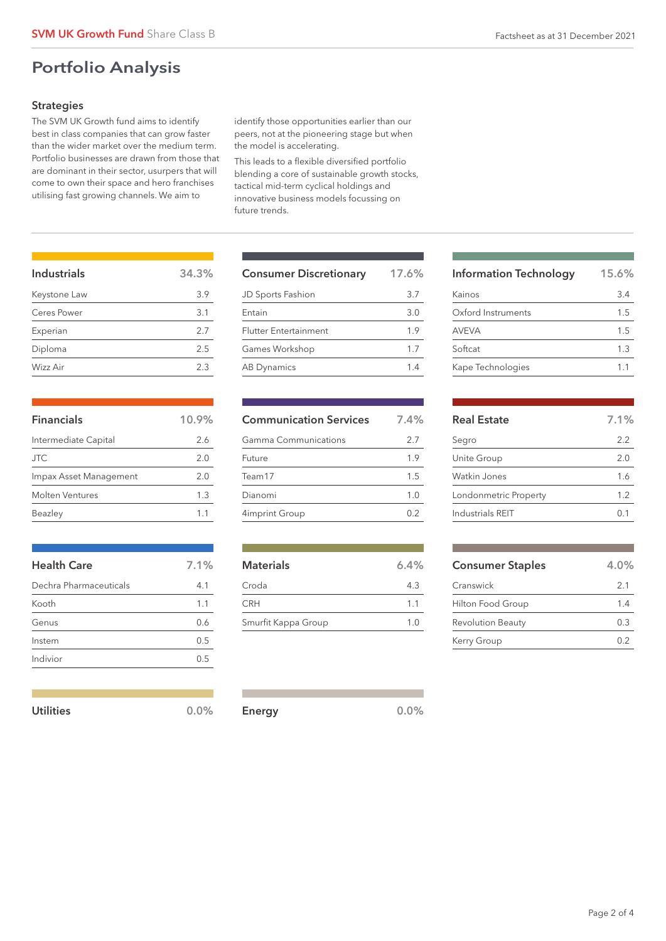### Portfolio Analysis

### **Strategies**

The SVM UK Growth fund aims to identify best in class companies that can grow faster than the wider market over the medium term. Portfolio businesses are drawn from those that are dominant in their sector, usurpers that will come to own their space and hero franchises utilising fast growing channels. We aim to

identify those opportunities earlier than our peers, not at the pioneering stage but when the model is accelerating.

This leads to a flexible diversified portfolio blending a core of sustainable growth stocks, tactical mid-term cyclical holdings and innovative business models focussing on future trends.

| Industrials  | 34.3% |
|--------------|-------|
| Keystone Law | 3.9   |
| Ceres Power  | 3.1   |
| Experian     | 2.7   |
| Diploma      | 2.5   |
| Wizz Air     | 2.3   |
|              |       |

| <b>Financials</b>      | 10.9% |
|------------------------|-------|
| Intermediate Capital   | 2.6   |
| <b>JTC</b>             | 2.0   |
| Impax Asset Management | 2.0   |
| Molten Ventures        | 1.3   |
| Beazley                |       |

| <b>Health Care</b>     | 7.1% |
|------------------------|------|
| Dechra Pharmaceuticals | 4.1  |
| Kooth                  | 1.1  |
| Genus                  | 0.6  |
| Instem                 | 0.5  |
| Indivior               | 0.5  |
|                        |      |

| Utilities | $0.0\%$ | Energy | 0.0% |
|-----------|---------|--------|------|
|           |         |        |      |

| <b>Consumer Discretionary</b> | 17.6% |
|-------------------------------|-------|
| JD Sports Fashion             | 3.7   |
| Entain                        | 3.0   |
| <b>Flutter Entertainment</b>  | 1.9   |
| Games Workshop                | 1.7   |
| <b>AB Dynamics</b>            | 14    |

| <b>Communication Services</b> | 7.4% |
|-------------------------------|------|
| Gamma Communications          | 2.7  |
| Future                        | 1.9  |
| Team17                        | 1.5  |
| Dianomi                       | 1.0  |
| 4imprint Group                |      |

| <b>Materials</b>    | 6.4%           |
|---------------------|----------------|
| Croda               | 4.3            |
| <b>CRH</b>          | 1 <sub>1</sub> |
| Smurfit Kappa Group | 1.0            |

| <b>Information Technology</b> | 15.6% |
|-------------------------------|-------|
| Kainos                        | 3.4   |
| Oxford Instruments            | 1.5   |
| <b>AVEVA</b>                  | 1.5   |
| Softcat                       | 1.3   |
| Kape Technologies             | 1.1   |

| <b>Real Estate</b>    | 7.1% |
|-----------------------|------|
| Segro                 | 2.2  |
| Unite Group           | 2.0  |
| Watkin Jones          | 1.6  |
| Londonmetric Property | 1.2  |
| Industrials REIT      |      |

| <b>Consumer Staples</b>  | $4.0\%$ |
|--------------------------|---------|
| Cranswick                | 2.1     |
| Hilton Food Group        | 14      |
| <b>Revolution Beauty</b> | 03      |
| Kerry Group              | በ 2     |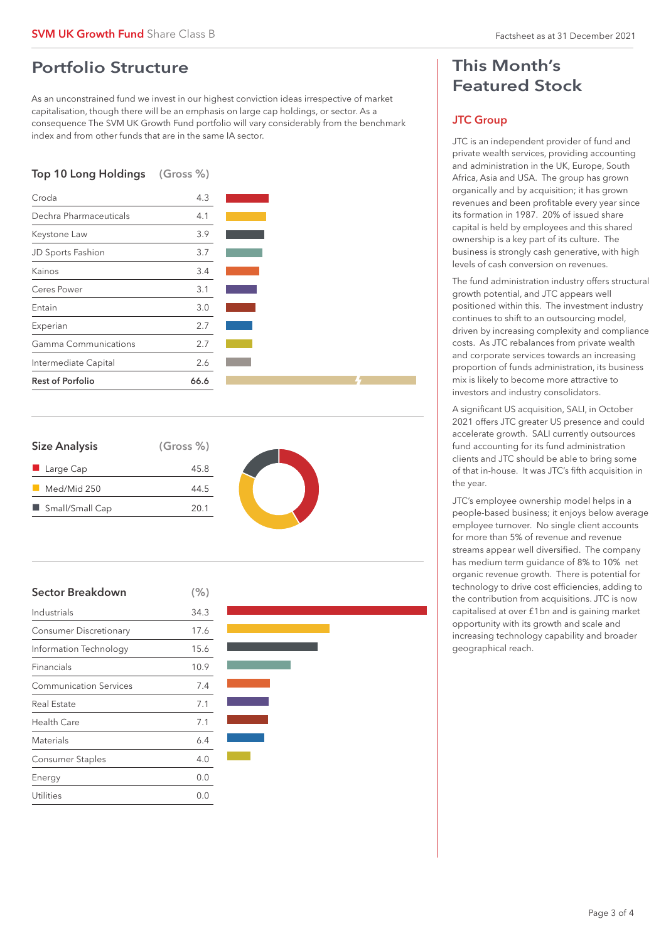### Portfolio Structure

As an unconstrained fund we invest in our highest conviction ideas irrespective of market capitalisation, though there will be an emphasis on large cap holdings, or sector. As a consequence The SVM UK Growth Fund portfolio will vary considerably from the benchmark index and from other funds that are in the same IA sector.

### Top 10 Long Holdings (Gross %)



| <b>Size Analysis</b>     | (Gross %) |
|--------------------------|-----------|
| $\blacksquare$ Large Cap | 45.8      |
| Med/Mid 250              | 44.5      |
| Small/Small Cap          | 20.1      |







### This Month's Featured Stock

### JTC Group

JTC is an independent provider of fund and private wealth services, providing accounting and administration in the UK, Europe, South Africa, Asia and USA. The group has grown organically and by acquisition; it has grown revenues and been profitable every year since its formation in 1987. 20% of issued share capital is held by employees and this shared ownership is a key part of its culture. The business is strongly cash generative, with high levels of cash conversion on revenues.

The fund administration industry offers structural growth potential, and JTC appears well positioned within this. The investment industry continues to shift to an outsourcing model, driven by increasing complexity and compliance costs. As JTC rebalances from private wealth and corporate services towards an increasing proportion of funds administration, its business mix is likely to become more attractive to investors and industry consolidators.

A significant US acquisition, SALI, in October 2021 offers JTC greater US presence and could accelerate growth. SALI currently outsources fund accounting for its fund administration clients and JTC should be able to bring some of that in-house. It was JTC's fifth acquisition in the year.

JTC's employee ownership model helps in a people-based business; it enjoys below average employee turnover. No single client accounts for more than 5% of revenue and revenue streams appear well diversified. The company has medium term guidance of 8% to 10% net organic revenue growth. There is potential for technology to drive cost efficiencies, adding to the contribution from acquisitions. JTC is now capitalised at over £1bn and is gaining market opportunity with its growth and scale and increasing technology capability and broader geographical reach.